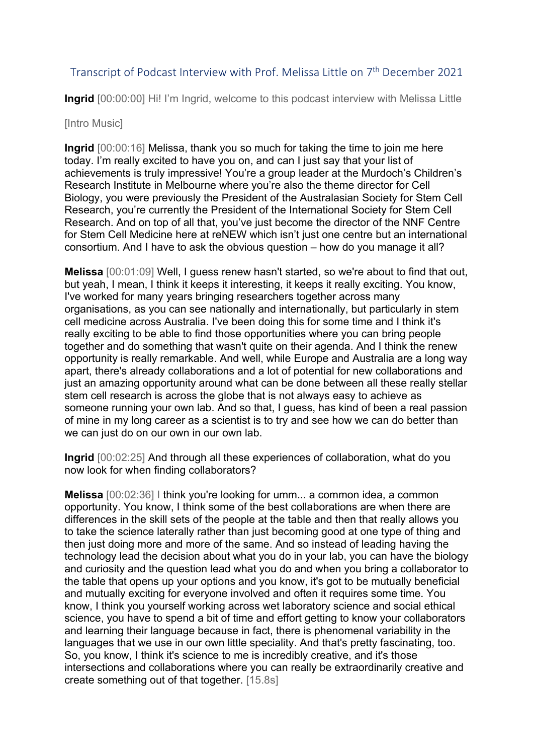## Transcript of Podcast Interview with Prof. Melissa Little on 7<sup>th</sup> December 2021

**Ingrid** [00:00:00] Hi! I'm Ingrid, welcome to this podcast interview with Melissa Little

## [Intro Music]

**Ingrid** [00:00:16] Melissa, thank you so much for taking the time to join me here today. I'm really excited to have you on, and can I just say that your list of achievements is truly impressive! You're a group leader at the Murdoch's Children's Research Institute in Melbourne where you're also the theme director for Cell Biology, you were previously the President of the Australasian Society for Stem Cell Research, you're currently the President of the International Society for Stem Cell Research. And on top of all that, you've just become the director of the NNF Centre for Stem Cell Medicine here at reNEW which isn't just one centre but an international consortium. And I have to ask the obvious question – how do you manage it all?

**Melissa** [00:01:09] Well, I guess renew hasn't started, so we're about to find that out, but yeah, I mean, I think it keeps it interesting, it keeps it really exciting. You know, I've worked for many years bringing researchers together across many organisations, as you can see nationally and internationally, but particularly in stem cell medicine across Australia. I've been doing this for some time and I think it's really exciting to be able to find those opportunities where you can bring people together and do something that wasn't quite on their agenda. And I think the renew opportunity is really remarkable. And well, while Europe and Australia are a long way apart, there's already collaborations and a lot of potential for new collaborations and just an amazing opportunity around what can be done between all these really stellar stem cell research is across the globe that is not always easy to achieve as someone running your own lab. And so that, I guess, has kind of been a real passion of mine in my long career as a scientist is to try and see how we can do better than we can just do on our own in our own lab.

**Ingrid** [00:02:25] And through all these experiences of collaboration, what do you now look for when finding collaborators?

**Melissa** [00:02:36] I think you're looking for umm... a common idea, a common opportunity. You know, I think some of the best collaborations are when there are differences in the skill sets of the people at the table and then that really allows you to take the science laterally rather than just becoming good at one type of thing and then just doing more and more of the same. And so instead of leading having the technology lead the decision about what you do in your lab, you can have the biology and curiosity and the question lead what you do and when you bring a collaborator to the table that opens up your options and you know, it's got to be mutually beneficial and mutually exciting for everyone involved and often it requires some time. You know, I think you yourself working across wet laboratory science and social ethical science, you have to spend a bit of time and effort getting to know your collaborators and learning their language because in fact, there is phenomenal variability in the languages that we use in our own little speciality. And that's pretty fascinating, too. So, you know, I think it's science to me is incredibly creative, and it's those intersections and collaborations where you can really be extraordinarily creative and create something out of that together. [15.8s]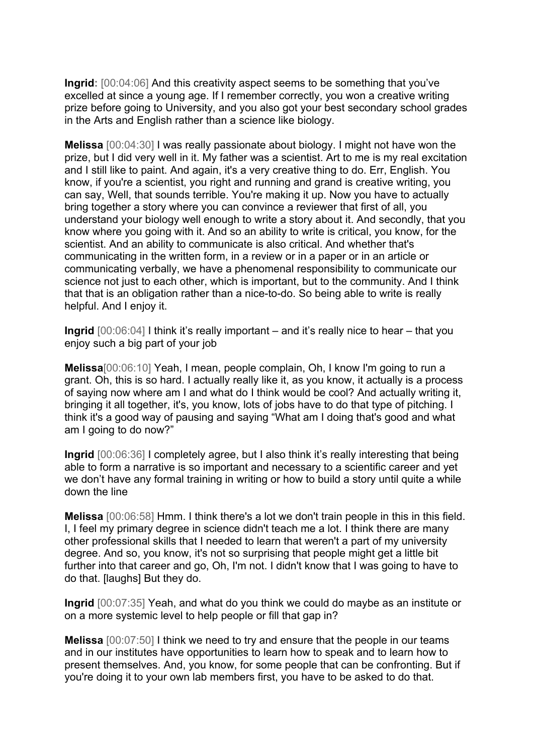**Ingrid:** [00:04:06] And this creativity aspect seems to be something that you've excelled at since a young age. If I remember correctly, you won a creative writing prize before going to University, and you also got your best secondary school grades in the Arts and English rather than a science like biology.

**Melissa** [00:04:30] I was really passionate about biology. I might not have won the prize, but I did very well in it. My father was a scientist. Art to me is my real excitation and I still like to paint. And again, it's a very creative thing to do. Err, English. You know, if you're a scientist, you right and running and grand is creative writing, you can say, Well, that sounds terrible. You're making it up. Now you have to actually bring together a story where you can convince a reviewer that first of all, you understand your biology well enough to write a story about it. And secondly, that you know where you going with it. And so an ability to write is critical, you know, for the scientist. And an ability to communicate is also critical. And whether that's communicating in the written form, in a review or in a paper or in an article or communicating verbally, we have a phenomenal responsibility to communicate our science not just to each other, which is important, but to the community. And I think that that is an obligation rather than a nice-to-do. So being able to write is really helpful. And I enjoy it.

**Ingrid**  $[00:06:04]$  I think it's really important – and it's really nice to hear – that you enjoy such a big part of your job

**Melissa**[00:06:10] Yeah, I mean, people complain, Oh, I know I'm going to run a grant. Oh, this is so hard. I actually really like it, as you know, it actually is a process of saying now where am I and what do I think would be cool? And actually writing it, bringing it all together, it's, you know, lots of jobs have to do that type of pitching. I think it's a good way of pausing and saying "What am I doing that's good and what am I going to do now?"

**Ingrid** [00:06:36] I completely agree, but I also think it's really interesting that being able to form a narrative is so important and necessary to a scientific career and yet we don't have any formal training in writing or how to build a story until quite a while down the line

**Melissa** [00:06:58] Hmm. I think there's a lot we don't train people in this in this field. I, I feel my primary degree in science didn't teach me a lot. I think there are many other professional skills that I needed to learn that weren't a part of my university degree. And so, you know, it's not so surprising that people might get a little bit further into that career and go, Oh, I'm not. I didn't know that I was going to have to do that. [laughs] But they do.

**Ingrid** [00:07:35] Yeah, and what do you think we could do maybe as an institute or on a more systemic level to help people or fill that gap in?

**Melissa** [00:07:50] I think we need to try and ensure that the people in our teams and in our institutes have opportunities to learn how to speak and to learn how to present themselves. And, you know, for some people that can be confronting. But if you're doing it to your own lab members first, you have to be asked to do that.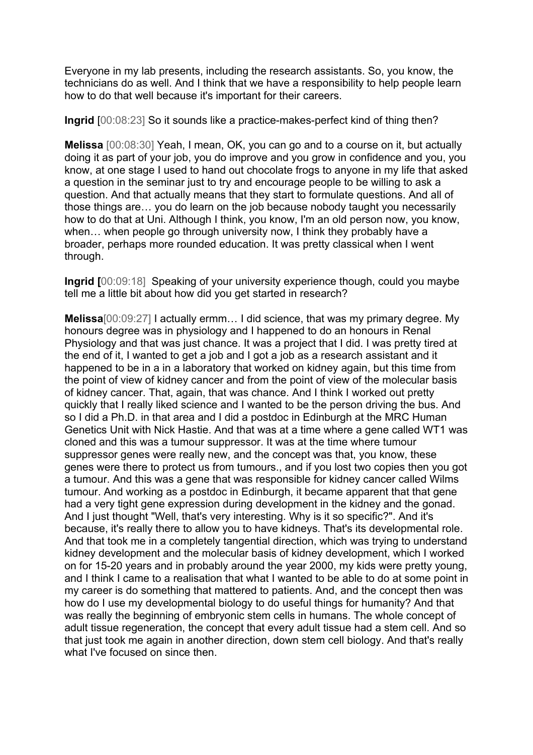Everyone in my lab presents, including the research assistants. So, you know, the technicians do as well. And I think that we have a responsibility to help people learn how to do that well because it's important for their careers.

**Ingrid** [00:08:23] So it sounds like a practice-makes-perfect kind of thing then?

**Melissa** [00:08:30] Yeah, I mean, OK, you can go and to a course on it, but actually doing it as part of your job, you do improve and you grow in confidence and you, you know, at one stage I used to hand out chocolate frogs to anyone in my life that asked a question in the seminar just to try and encourage people to be willing to ask a question. And that actually means that they start to formulate questions. And all of those things are… you do learn on the job because nobody taught you necessarily how to do that at Uni. Although I think, you know, I'm an old person now, you know, when… when people go through university now, I think they probably have a broader, perhaps more rounded education. It was pretty classical when I went through.

**Ingrid [**00:09:18] Speaking of your university experience though, could you maybe tell me a little bit about how did you get started in research?

**Melissa**[00:09:27] I actually ermm… I did science, that was my primary degree. My honours degree was in physiology and I happened to do an honours in Renal Physiology and that was just chance. It was a project that I did. I was pretty tired at the end of it, I wanted to get a job and I got a job as a research assistant and it happened to be in a in a laboratory that worked on kidney again, but this time from the point of view of kidney cancer and from the point of view of the molecular basis of kidney cancer. That, again, that was chance. And I think I worked out pretty quickly that I really liked science and I wanted to be the person driving the bus. And so I did a Ph.D. in that area and I did a postdoc in Edinburgh at the MRC Human Genetics Unit with Nick Hastie. And that was at a time where a gene called WT1 was cloned and this was a tumour suppressor. It was at the time where tumour suppressor genes were really new, and the concept was that, you know, these genes were there to protect us from tumours., and if you lost two copies then you got a tumour. And this was a gene that was responsible for kidney cancer called Wilms tumour. And working as a postdoc in Edinburgh, it became apparent that that gene had a very tight gene expression during development in the kidney and the gonad. And I just thought "Well, that's very interesting. Why is it so specific?". And it's because, it's really there to allow you to have kidneys. That's its developmental role. And that took me in a completely tangential direction, which was trying to understand kidney development and the molecular basis of kidney development, which I worked on for 15-20 years and in probably around the year 2000, my kids were pretty young, and I think I came to a realisation that what I wanted to be able to do at some point in my career is do something that mattered to patients. And, and the concept then was how do I use my developmental biology to do useful things for humanity? And that was really the beginning of embryonic stem cells in humans. The whole concept of adult tissue regeneration, the concept that every adult tissue had a stem cell. And so that just took me again in another direction, down stem cell biology. And that's really what I've focused on since then.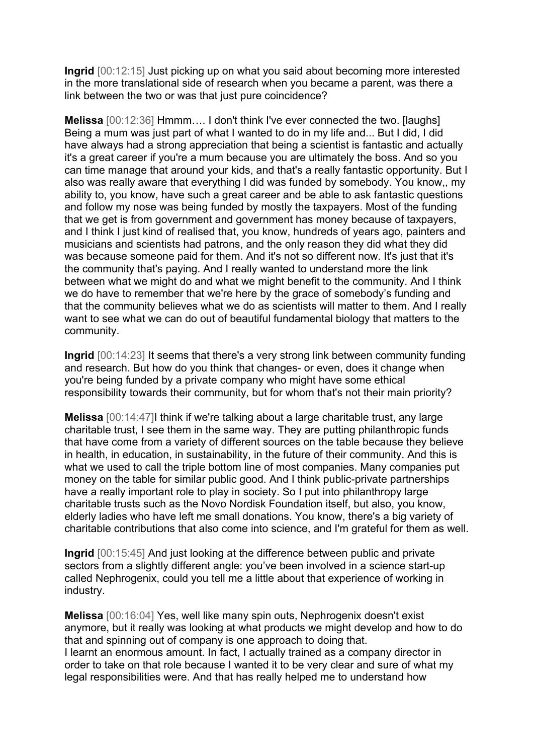**Ingrid** [00:12:15] Just picking up on what you said about becoming more interested in the more translational side of research when you became a parent, was there a link between the two or was that just pure coincidence?

**Melissa** [00:12:36] Hmmm…. I don't think I've ever connected the two. [laughs] Being a mum was just part of what I wanted to do in my life and... But I did, I did have always had a strong appreciation that being a scientist is fantastic and actually it's a great career if you're a mum because you are ultimately the boss. And so you can time manage that around your kids, and that's a really fantastic opportunity. But I also was really aware that everything I did was funded by somebody. You know,, my ability to, you know, have such a great career and be able to ask fantastic questions and follow my nose was being funded by mostly the taxpayers. Most of the funding that we get is from government and government has money because of taxpayers, and I think I just kind of realised that, you know, hundreds of years ago, painters and musicians and scientists had patrons, and the only reason they did what they did was because someone paid for them. And it's not so different now. It's just that it's the community that's paying. And I really wanted to understand more the link between what we might do and what we might benefit to the community. And I think we do have to remember that we're here by the grace of somebody's funding and that the community believes what we do as scientists will matter to them. And I really want to see what we can do out of beautiful fundamental biology that matters to the community.

**Ingrid** [00:14:23] It seems that there's a very strong link between community funding and research. But how do you think that changes- or even, does it change when you're being funded by a private company who might have some ethical responsibility towards their community, but for whom that's not their main priority?

**Melissa** [00:14:47]I think if we're talking about a large charitable trust, any large charitable trust, I see them in the same way. They are putting philanthropic funds that have come from a variety of different sources on the table because they believe in health, in education, in sustainability, in the future of their community. And this is what we used to call the triple bottom line of most companies. Many companies put money on the table for similar public good. And I think public-private partnerships have a really important role to play in society. So I put into philanthropy large charitable trusts such as the Novo Nordisk Foundation itself, but also, you know, elderly ladies who have left me small donations. You know, there's a big variety of charitable contributions that also come into science, and I'm grateful for them as well.

**Ingrid** [00:15:45] And just looking at the difference between public and private sectors from a slightly different angle: you've been involved in a science start-up called Nephrogenix, could you tell me a little about that experience of working in industry.

**Melissa** [00:16:04] Yes, well like many spin outs, Nephrogenix doesn't exist anymore, but it really was looking at what products we might develop and how to do that and spinning out of company is one approach to doing that. I learnt an enormous amount. In fact, I actually trained as a company director in order to take on that role because I wanted it to be very clear and sure of what my legal responsibilities were. And that has really helped me to understand how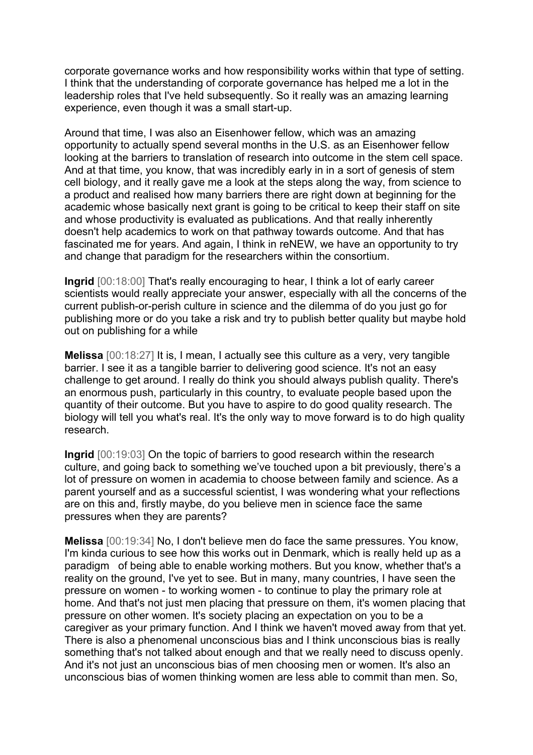corporate governance works and how responsibility works within that type of setting. I think that the understanding of corporate governance has helped me a lot in the leadership roles that I've held subsequently. So it really was an amazing learning experience, even though it was a small start-up.

Around that time, I was also an Eisenhower fellow, which was an amazing opportunity to actually spend several months in the U.S. as an Eisenhower fellow looking at the barriers to translation of research into outcome in the stem cell space. And at that time, you know, that was incredibly early in in a sort of genesis of stem cell biology, and it really gave me a look at the steps along the way, from science to a product and realised how many barriers there are right down at beginning for the academic whose basically next grant is going to be critical to keep their staff on site and whose productivity is evaluated as publications. And that really inherently doesn't help academics to work on that pathway towards outcome. And that has fascinated me for years. And again, I think in reNEW, we have an opportunity to try and change that paradigm for the researchers within the consortium.

**Ingrid** [00:18:00] That's really encouraging to hear, I think a lot of early career scientists would really appreciate your answer, especially with all the concerns of the current publish-or-perish culture in science and the dilemma of do you just go for publishing more or do you take a risk and try to publish better quality but maybe hold out on publishing for a while

**Melissa** [00:18:27] It is, I mean, I actually see this culture as a very, very tangible barrier. I see it as a tangible barrier to delivering good science. It's not an easy challenge to get around. I really do think you should always publish quality. There's an enormous push, particularly in this country, to evaluate people based upon the quantity of their outcome. But you have to aspire to do good quality research. The biology will tell you what's real. It's the only way to move forward is to do high quality research.

**Ingrid** [00:19:03] On the topic of barriers to good research within the research culture, and going back to something we've touched upon a bit previously, there's a lot of pressure on women in academia to choose between family and science. As a parent yourself and as a successful scientist, I was wondering what your reflections are on this and, firstly maybe, do you believe men in science face the same pressures when they are parents?

**Melissa** [00:19:34] No, I don't believe men do face the same pressures. You know, I'm kinda curious to see how this works out in Denmark, which is really held up as a paradigm of being able to enable working mothers. But you know, whether that's a reality on the ground, I've yet to see. But in many, many countries, I have seen the pressure on women - to working women - to continue to play the primary role at home. And that's not just men placing that pressure on them, it's women placing that pressure on other women. It's society placing an expectation on you to be a caregiver as your primary function. And I think we haven't moved away from that yet. There is also a phenomenal unconscious bias and I think unconscious bias is really something that's not talked about enough and that we really need to discuss openly. And it's not just an unconscious bias of men choosing men or women. It's also an unconscious bias of women thinking women are less able to commit than men. So,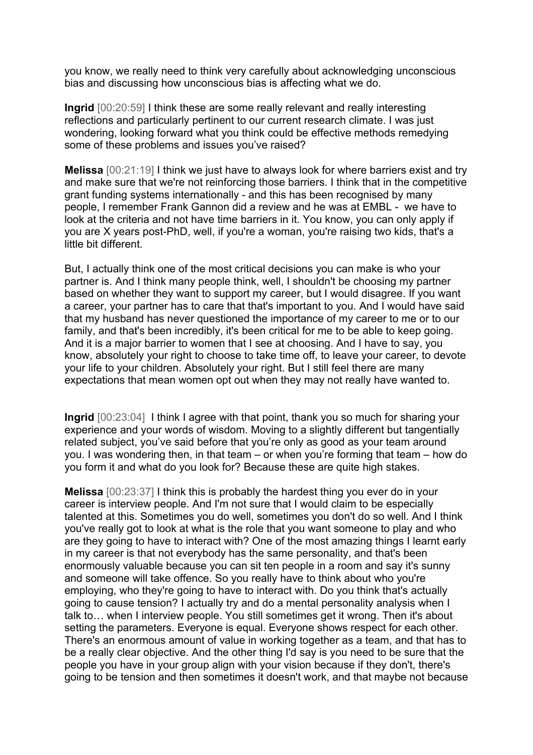you know, we really need to think very carefully about acknowledging unconscious bias and discussing how unconscious bias is affecting what we do.

**Ingrid** [00:20:59] I think these are some really relevant and really interesting reflections and particularly pertinent to our current research climate. I was just wondering, looking forward what you think could be effective methods remedying some of these problems and issues you've raised?

**Melissa** [00:21:19] I think we just have to always look for where barriers exist and try and make sure that we're not reinforcing those barriers. I think that in the competitive grant funding systems internationally - and this has been recognised by many people, I remember Frank Gannon did a review and he was at EMBL - we have to look at the criteria and not have time barriers in it. You know, you can only apply if you are X years post-PhD, well, if you're a woman, you're raising two kids, that's a little bit different.

But, I actually think one of the most critical decisions you can make is who your partner is. And I think many people think, well, I shouldn't be choosing my partner based on whether they want to support my career, but I would disagree. If you want a career, your partner has to care that that's important to you. And I would have said that my husband has never questioned the importance of my career to me or to our family, and that's been incredibly, it's been critical for me to be able to keep going. And it is a major barrier to women that I see at choosing. And I have to say, you know, absolutely your right to choose to take time off, to leave your career, to devote your life to your children. Absolutely your right. But I still feel there are many expectations that mean women opt out when they may not really have wanted to.

**Ingrid**  $[00:23:04]$  I think I agree with that point, thank you so much for sharing your experience and your words of wisdom. Moving to a slightly different but tangentially related subject, you've said before that you're only as good as your team around you. I was wondering then, in that team – or when you're forming that team – how do you form it and what do you look for? Because these are quite high stakes.

**Melissa** [00:23:37] I think this is probably the hardest thing you ever do in your career is interview people. And I'm not sure that I would claim to be especially talented at this. Sometimes you do well, sometimes you don't do so well. And I think you've really got to look at what is the role that you want someone to play and who are they going to have to interact with? One of the most amazing things I learnt early in my career is that not everybody has the same personality, and that's been enormously valuable because you can sit ten people in a room and say it's sunny and someone will take offence. So you really have to think about who you're employing, who they're going to have to interact with. Do you think that's actually going to cause tension? I actually try and do a mental personality analysis when I talk to… when I interview people. You still sometimes get it wrong. Then it's about setting the parameters. Everyone is equal. Everyone shows respect for each other. There's an enormous amount of value in working together as a team, and that has to be a really clear objective. And the other thing I'd say is you need to be sure that the people you have in your group align with your vision because if they don't, there's going to be tension and then sometimes it doesn't work, and that maybe not because